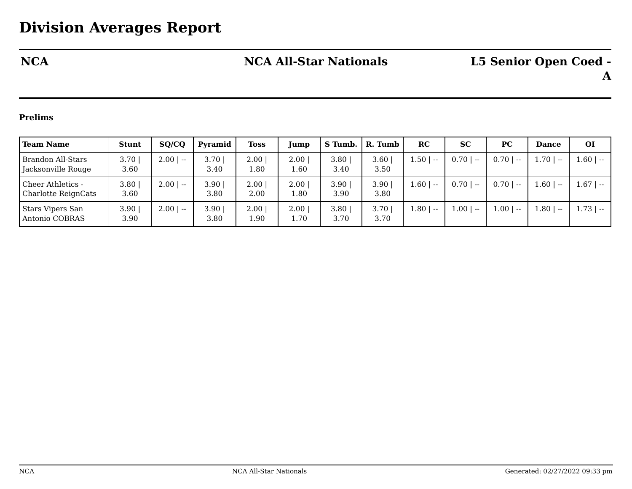## **Prelims**

| <b>Team Name</b>                                       | <b>Stunt</b>              | SQ/CQ       | Pyramid      | <b>Toss</b>      | Jump         | S Tumb.      | R. Tumb      | RC            | <b>SC</b>   | <b>PC</b>   | <b>Dance</b>   | <b>OI</b>     |
|--------------------------------------------------------|---------------------------|-------------|--------------|------------------|--------------|--------------|--------------|---------------|-------------|-------------|----------------|---------------|
| <b>Brandon All-Stars</b><br>Jacksonville Rouge         | 3.70<br>3.60              | $2.00$   -- | 3.70<br>3.40 | 2.00<br>1.80     | 2.00<br>1.60 | 3.80<br>3.40 | 3.60<br>3.50 | 1.50   --     | $0.70$   -- | $0.70$   -- | $1.70$   --    | $-1.60$   $-$ |
| <b>Cheer Athletics -</b><br><b>Charlotte ReignCats</b> | $3.80$  <br>3.60          | $2.00$   -- | 3.90<br>3.80 | $2.00\,$<br>2.00 | 2.00<br>.80  | 3.90<br>3.90 | 3.90<br>3.80 | 1.60   --     | $0.70$   -- | $0.70$   -- | 1.60 <br>$-$   | $1.67$   --   |
| <b>Stars Vipers San</b><br>Antonio COBRAS              | 3.90 <sub>1</sub><br>3.90 | $2.00$   -- | 3.90<br>3.80 | 2.00<br>1.90     | 2.00<br>.70  | 3.80<br>3.70 | 3.70<br>3.70 | $-1.80$   $-$ | $1.00$   -- | $1.00$   -- | 1.80 <br>$- -$ | $1.73$   --   |